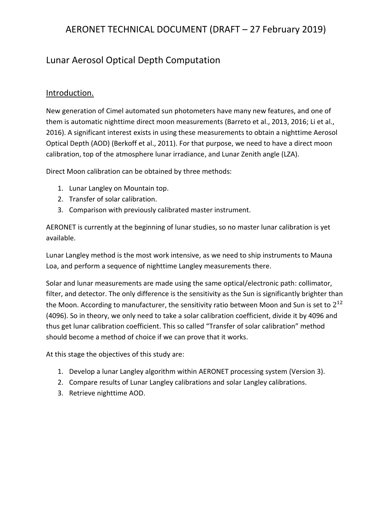# Lunar Aerosol Optical Depth Computation

## Introduction.

New generation of Cimel automated sun photometers have many new features, and one of them is automatic nighttime direct moon measurements (Barreto et al., 2013, 2016; Li et al., 2016). A significant interest exists in using these measurements to obtain a nighttime Aerosol Optical Depth (AOD) (Berkoff et al., 2011). For that purpose, we need to have a direct moon calibration, top of the atmosphere lunar irradiance, and Lunar Zenith angle (LZA).

Direct Moon calibration can be obtained by three methods:

- 1. Lunar Langley on Mountain top.
- 2. Transfer of solar calibration.
- 3. Comparison with previously calibrated master instrument.

AERONET is currently at the beginning of lunar studies, so no master lunar calibration is yet available.

Lunar Langley method is the most work intensive, as we need to ship instruments to Mauna Loa, and perform a sequence of nighttime Langley measurements there.

Solar and lunar measurements are made using the same optical/electronic path: collimator, filter, and detector. The only difference is the sensitivity as the Sun is significantly brighter than the Moon. According to manufacturer, the sensitivity ratio between Moon and Sun is set to  $2^{12}$ (4096). So in theory, we only need to take a solar calibration coefficient, divide it by 4096 and thus get lunar calibration coefficient. This so called "Transfer of solar calibration" method should become a method of choice if we can prove that it works.

At this stage the objectives of this study are:

- 1. Develop a lunar Langley algorithm within AERONET processing system (Version 3).
- 2. Compare results of Lunar Langley calibrations and solar Langley calibrations.
- 3. Retrieve nighttime AOD.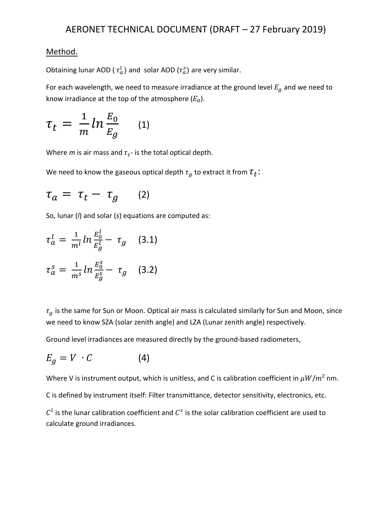## Method.

Obtaining lunar AOD (  $\tau_a^l$ ) and solar AOD ( $\tau_a^s$ ) are very similar.

For each wavelength, we need to measure irradiance at the ground level  $E_g$  and we need to know irradiance at the top of the atmosphere  $(E_0)$ .

$$
\tau_t = \frac{1}{m} \ln \frac{E_0}{E_g} \qquad (1)
$$

Where  $m$  is air mass and  $\tau_t$ - is the total optical depth.

We need to know the gaseous optical depth  $\tau_g$  to extract it from  $\tau_t\colon$ 

$$
\tau_a = \tau_t - \tau_g \qquad (2)
$$

So, lunar (*l*) and solar (*s*) equations are computed as:

$$
\tau_a^l = \frac{1}{m^l} ln \frac{E_0^l}{E_g^l} - \tau_g \quad (3.1)
$$
  

$$
\tau_a^s = \frac{1}{m^s} ln \frac{E_0^s}{E_g^s} - \tau_g \quad (3.2)
$$

 $\tau_q$  is the same for Sun or Moon. Optical air mass is calculated similarly for Sun and Moon, since we need to know SZA (solar zenith angle) and LZA (Lunar zenith angle) respectively.

Ground level irradiances are measured directly by the ground-based radiometers,

$$
E_g = V \cdot C \tag{4}
$$

Where V is instrument output, which is unitless, and C is calibration coefficient in  $\mu W/m^2$  nm.

C is defined by instrument itself: Filter transmittance, detector sensitivity, electronics, etc.

 $C<sup>l</sup>$  is the lunar calibration coefficient and  $C<sup>s</sup>$  is the solar calibration coefficient are used to calculate ground irradiances.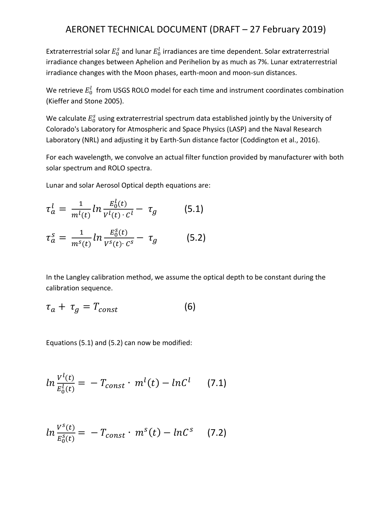Extraterrestrial solar  $E_0^s$  and lunar  $E_0^l$  irradiances are time dependent. Solar extraterrestrial irradiance changes between Aphelion and Perihelion by as much as 7%. Lunar extraterrestrial irradiance changes with the Moon phases, earth-moon and moon-sun distances.

We retrieve  $E_0^l\;$  from USGS ROLO model for each time and instrument coordinates combination (Kieffer and Stone 2005).

We calculate  $E_0^s$  using extraterrestrial spectrum data established jointly by the University of Colorado's Laboratory for Atmospheric and Space Physics (LASP) and the Naval Research Laboratory (NRL) and adjusting it by Earth-Sun distance factor (Coddington et al., 2016).

For each wavelength, we convolve an actual filter function provided by manufacturer with both solar spectrum and ROLO spectra.

Lunar and solar Aerosol Optical depth equations are:

$$
\tau_a^l = \frac{1}{m^l(t)} \ln \frac{E_0^l(t)}{V^l(t) \cdot c^l} - \tau_g \tag{5.1}
$$

$$
\tau_a^s = \frac{1}{m^s(t)} \ln \frac{E_0^s(t)}{V^s(t) \cdot C^s} - \tau_g \tag{5.2}
$$

In the Langley calibration method, we assume the optical depth to be constant during the calibration sequence.

$$
\tau_a + \tau_g = T_{const} \tag{6}
$$

Equations (5.1) and (5.2) can now be modified:

$$
ln \frac{V^{l}(t)}{E_{0}^{l}(t)} = -T_{const} \cdot m^{l}(t) - ln C^{l}
$$
 (7.1)

$$
ln \frac{V^s(t)}{E_0^s(t)} = -T_{const} \cdot m^s(t) - lnC^s \qquad (7.2)
$$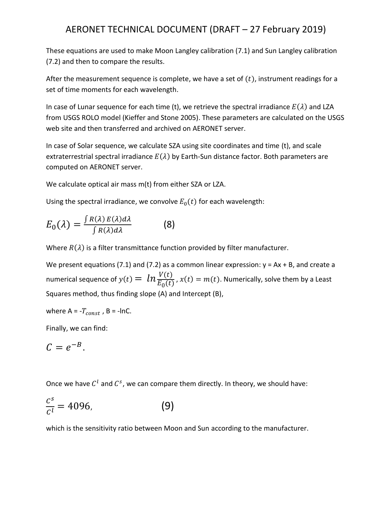These equations are used to make Moon Langley calibration (7.1) and Sun Langley calibration (7.2) and then to compare the results.

After the measurement sequence is complete, we have a set of  $(t)$ , instrument readings for a set of time moments for each wavelength.

In case of Lunar sequence for each time (t), we retrieve the spectral irradiance  $E(\lambda)$  and LZA from USGS ROLO model (Kieffer and Stone 2005). These parameters are calculated on the USGS web site and then transferred and archived on AERONET server.

In case of Solar sequence, we calculate SZA using site coordinates and time (t), and scale extraterrestrial spectral irradiance  $E(\lambda)$  by Earth-Sun distance factor. Both parameters are computed on AERONET server.

We calculate optical air mass m(t) from either SZA or LZA.

Using the spectral irradiance, we convolve  $E_0(t)$  for each wavelength:

$$
E_0(\lambda) = \frac{\int R(\lambda) E(\lambda) d\lambda}{\int R(\lambda) d\lambda}
$$
 (8)

Where  $R(\lambda)$  is a filter transmittance function provided by filter manufacturer.

We present equations (7.1) and (7.2) as a common linear expression:  $y = Ax + B$ , and create a numerical sequence of  $y(t) = \ ln \frac{V(t)}{E_0(t)}$  ,  $x(t) = m(t)$ . Numerically, solve them by a Least Squares method, thus finding slope (A) and Intercept (B),

where 
$$
A = -T_{const}
$$
,  $B = -InC$ .

Finally, we can find:

$$
C=e^{-B}.
$$

Once we have  $C^l$  and  $C^s$ , we can compare them directly. In theory, we should have:

$$
\frac{c^s}{c^l} = 4096,\t\t(9)
$$

which is the sensitivity ratio between Moon and Sun according to the manufacturer.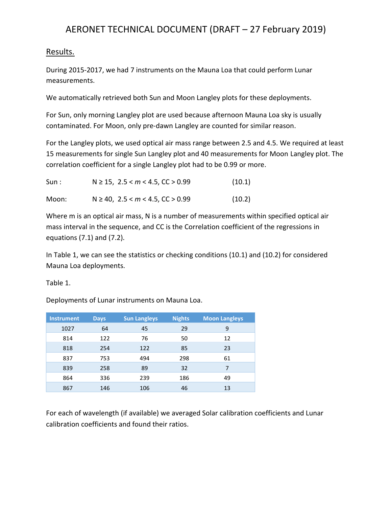#### Results.

During 2015-2017, we had 7 instruments on the Mauna Loa that could perform Lunar measurements.

We automatically retrieved both Sun and Moon Langley plots for these deployments.

For Sun, only morning Langley plot are used because afternoon Mauna Loa sky is usually contaminated. For Moon, only pre-dawn Langley are counted for similar reason.

For the Langley plots, we used optical air mass range between 2.5 and 4.5. We required at least 15 measurements for single Sun Langley plot and 40 measurements for Moon Langley plot. The correlation coefficient for a single Langley plot had to be 0.99 or more.

| Sun : | $N \ge 15$ , 2.5 < $m$ < 4.5, CC > 0.99 | (10.1) |
|-------|-----------------------------------------|--------|
| Moon: | $N \ge 40$ , 2.5 < $m$ < 4.5, CC > 0.99 | (10.2) |

Where m is an optical air mass, N is a number of measurements within specified optical air mass interval in the sequence, and CC is the Correlation coefficient of the regressions in equations (7.1) and (7.2).

In Table 1, we can see the statistics or checking conditions (10.1) and (10.2) for considered Mauna Loa deployments.

Table 1.

Deployments of Lunar instruments on Mauna Loa.

| <b>Instrument</b> | <b>Days</b> | <b>Sun Langleys</b> | <b>Nights</b> | <b>Moon Langleys</b> |
|-------------------|-------------|---------------------|---------------|----------------------|
| 1027              | 64          | 45                  | 29            | 9                    |
| 814               | 122         | 76                  | 50            | 12                   |
| 818               | 254         | 122                 | 85            | 23                   |
| 837               | 753         | 494                 | 298           | 61                   |
| 839               | 258         | 89                  | 32            |                      |
| 864               | 336         | 239                 | 186           | 49                   |
| 867               | 146         | 106                 | 46            | 13                   |

For each of wavelength (if available) we averaged Solar calibration coefficients and Lunar calibration coefficients and found their ratios.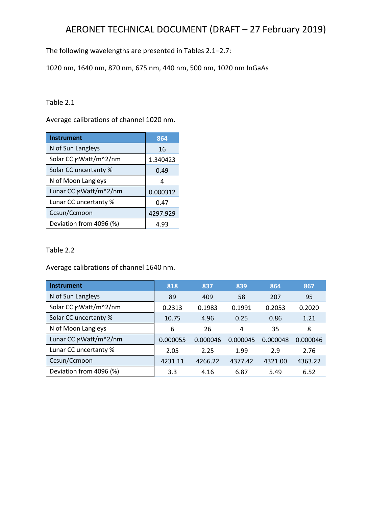The following wavelengths are presented in Tables 2.1–2.7:

1020 nm, 1640 nm, 870 nm, 675 nm, 440 nm, 500 nm, 1020 nm InGaAs

Table 2.1

Average calibrations of channel 1020 nm.

| <b>Instrument</b>       | 864      |
|-------------------------|----------|
| N of Sun Langleys       | 16       |
| Solar CC MWatt/m^2/nm   | 1.340423 |
| Solar CC uncertanty %   | 0.49     |
| N of Moon Langleys      | 4        |
| Lunar CC MWatt/m^2/nm   | 0.000312 |
| Lunar CC uncertanty %   | 0.47     |
| Ccsun/Ccmoon            | 4297.929 |
| Deviation from 4096 (%) | 4.93     |

Table 2.2

Average calibrations of channel 1640 nm.

| Instrument              | 818      | 837      | 839      | 864      | 867      |
|-------------------------|----------|----------|----------|----------|----------|
| N of Sun Langleys       | 89       | 409      | 58       | 207      | 95       |
| Solar CC MWatt/m^2/nm   | 0.2313   | 0.1983   | 0.1991   | 0.2053   | 0.2020   |
| Solar CC uncertanty %   | 10.75    | 4.96     | 0.25     | 0.86     | 1.21     |
| N of Moon Langleys      | 6        | 26       | 4        | 35       | 8        |
| Lunar CC MWatt/m^2/nm   | 0.000055 | 0.000046 | 0.000045 | 0.000048 | 0.000046 |
| Lunar CC uncertanty %   | 2.05     | 2.25     | 1.99     | 2.9      | 2.76     |
| Ccsun/Ccmoon            | 4231.11  | 4266.22  | 4377.42  | 4321.00  | 4363.22  |
| Deviation from 4096 (%) | 3.3      | 4.16     | 6.87     | 5.49     | 6.52     |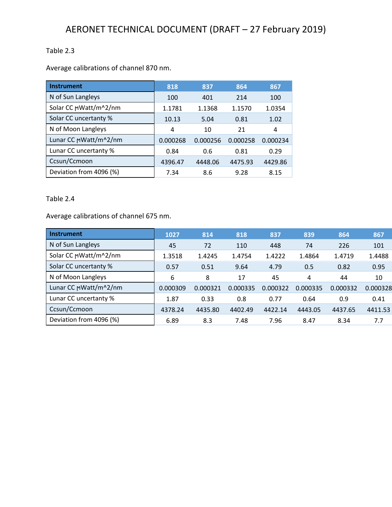## Table 2.3

Average calibrations of channel 870 nm.

| <b>Instrument</b>       | 818      | 837      | 864      | 867      |
|-------------------------|----------|----------|----------|----------|
| N of Sun Langleys       | 100      | 401      | 214      | 100      |
| Solar CC MWatt/m^2/nm   | 1.1781   | 1.1368   | 1.1570   | 1.0354   |
| Solar CC uncertanty %   | 10.13    | 5.04     | 0.81     | 1.02     |
| N of Moon Langleys      | 4        | 10       | 21       | 4        |
| Lunar CC MWatt/m^2/nm   | 0.000268 | 0.000256 | 0.000258 | 0.000234 |
| Lunar CC uncertanty %   | 0.84     | 0.6      | 0.81     | 0.29     |
| Ccsun/Ccmoon            | 4396.47  | 4448.06  | 4475.93  | 4429.86  |
| Deviation from 4096 (%) | 7.34     | 8.6      | 9.28     | 8.15     |

#### Table 2.4

Average calibrations of channel 675 nm.

| <b>Instrument</b>       | 1027     | 814      | 818      | 837      | 839      | 864      | 867      |
|-------------------------|----------|----------|----------|----------|----------|----------|----------|
| N of Sun Langleys       | 45       | 72       | 110      | 448      | 74       | 226      | 101      |
| Solar CC MWatt/m^2/nm   | 1.3518   | 1.4245   | 1.4754   | 1.4222   | 1.4864   | 1.4719   | 1.4488   |
| Solar CC uncertanty %   | 0.57     | 0.51     | 9.64     | 4.79     | 0.5      | 0.82     | 0.95     |
| N of Moon Langleys      | 6        | 8        | 17       | 45       | 4        | 44       | 10       |
| Lunar CC MWatt/m^2/nm   | 0.000309 | 0.000321 | 0.000335 | 0.000322 | 0.000335 | 0.000332 | 0.000328 |
| Lunar CC uncertanty %   | 1.87     | 0.33     | 0.8      | 0.77     | 0.64     | 0.9      | 0.41     |
| Ccsun/Ccmoon            | 4378.24  | 4435.80  | 4402.49  | 4422.14  | 4443.05  | 4437.65  | 4411.53  |
| Deviation from 4096 (%) | 6.89     | 8.3      | 7.48     | 7.96     | 8.47     | 8.34     | 7.7      |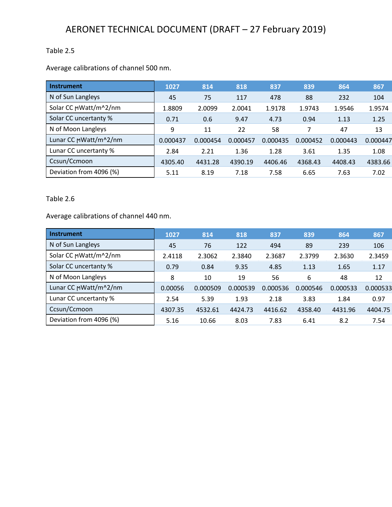## Table 2.5

Average calibrations of channel 500 nm.

| <b>Instrument</b>       | 1027     | 814      | 818      | 837      | 839      | 864      | 867      |
|-------------------------|----------|----------|----------|----------|----------|----------|----------|
| N of Sun Langleys       | 45       | 75       | 117      | 478      | 88       | 232      | 104      |
| Solar CC MWatt/m^2/nm   | 1.8809   | 2.0099   | 2.0041   | 1.9178   | 1.9743   | 1.9546   | 1.9574   |
| Solar CC uncertanty %   | 0.71     | 0.6      | 9.47     | 4.73     | 0.94     | 1.13     | 1.25     |
| N of Moon Langleys      | 9        | 11       | 22       | 58       | 7        | 47       | 13       |
| Lunar CC MWatt/m^2/nm   | 0.000437 | 0.000454 | 0.000457 | 0.000435 | 0.000452 | 0.000443 | 0.000447 |
| Lunar CC uncertanty %   | 2.84     | 2.21     | 1.36     | 1.28     | 3.61     | 1.35     | 1.08     |
| Ccsun/Ccmoon            | 4305.40  | 4431.28  | 4390.19  | 4406.46  | 4368.43  | 4408.43  | 4383.66  |
| Deviation from 4096 (%) | 5.11     | 8.19     | 7.18     | 7.58     | 6.65     | 7.63     | 7.02     |

#### Table 2.6

Average calibrations of channel 440 nm.

| <b>Instrument</b>       | 1027    | 814      | 818      | 837      | 839      | 864      | 867      |
|-------------------------|---------|----------|----------|----------|----------|----------|----------|
| N of Sun Langleys       | 45      | 76       | 122      | 494      | 89       | 239      | 106      |
| Solar CC MWatt/m^2/nm   | 2.4118  | 2.3062   | 2.3840   | 2.3687   | 2.3799   | 2.3630   | 2.3459   |
| Solar CC uncertanty %   | 0.79    | 0.84     | 9.35     | 4.85     | 1.13     | 1.65     | 1.17     |
| N of Moon Langleys      | 8       | 10       | 19       | 56       | 6        | 48       | 12       |
| Lunar CC MWatt/m^2/nm   | 0.00056 | 0.000509 | 0.000539 | 0.000536 | 0.000546 | 0.000533 | 0.000533 |
| Lunar CC uncertanty %   | 2.54    | 5.39     | 1.93     | 2.18     | 3.83     | 1.84     | 0.97     |
| Ccsun/Ccmoon            | 4307.35 | 4532.61  | 4424.73  | 4416.62  | 4358.40  | 4431.96  | 4404.75  |
| Deviation from 4096 (%) | 5.16    | 10.66    | 8.03     | 7.83     | 6.41     | 8.2      | 7.54     |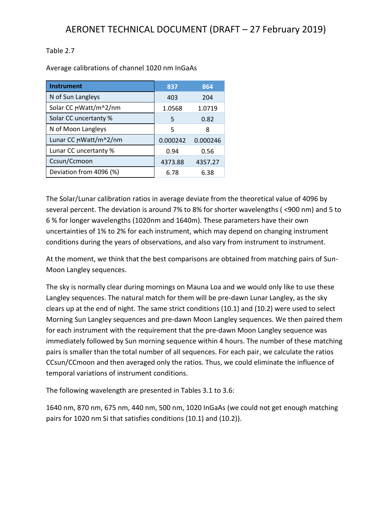#### Table 2.7

Average calibrations of channel 1020 nm InGaAs

| <b>Instrument</b>       | 837      | 864      |
|-------------------------|----------|----------|
| N of Sun Langleys       | 403      | 204      |
| Solar CC MWatt/m^2/nm   | 1.0568   | 1.0719   |
| Solar CC uncertanty %   | 5        | 0.82     |
| N of Moon Langleys      | 5        | 8        |
| Lunar CC MWatt/m^2/nm   | 0.000242 | 0.000246 |
| Lunar CC uncertanty %   | 0.94     | 0.56     |
| Ccsun/Ccmoon            | 4373.88  | 4357.27  |
| Deviation from 4096 (%) | 6.78     | 6.38     |

The Solar/Lunar calibration ratios in average deviate from the theoretical value of 4096 by several percent. The deviation is around 7% to 8% for shorter wavelengths ( <900 nm) and 5 to 6 % for longer wavelengths (1020nm and 1640m). These parameters have their own uncertainties of 1% to 2% for each instrument, which may depend on changing instrument conditions during the years of observations, and also vary from instrument to instrument.

At the moment, we think that the best comparisons are obtained from matching pairs of Sun-Moon Langley sequences.

The sky is normally clear during mornings on Mauna Loa and we would only like to use these Langley sequences. The natural match for them will be pre-dawn Lunar Langley, as the sky clears up at the end of night. The same strict conditions (10.1) and (10.2) were used to select Morning Sun Langley sequences and pre-dawn Moon Langley sequences. We then paired them for each instrument with the requirement that the pre-dawn Moon Langley sequence was immediately followed by Sun morning sequence within 4 hours. The number of these matching pairs is smaller than the total number of all sequences. For each pair, we calculate the ratios CCsun/CCmoon and then averaged only the ratios. Thus, we could eliminate the influence of temporal variations of instrument conditions.

The following wavelength are presented in Tables 3.1 to 3.6:

1640 nm, 870 nm, 675 nm, 440 nm, 500 nm, 1020 InGaAs (we could not get enough matching pairs for 1020 nm Si that satisfies conditions (10.1) and (10.2)).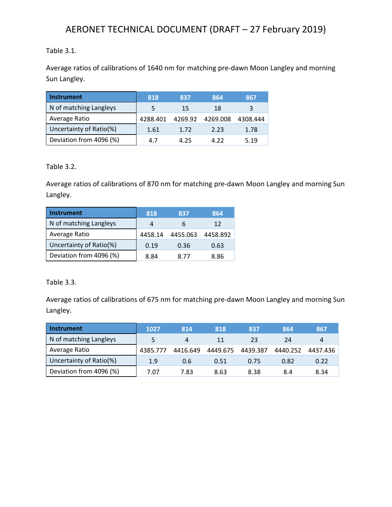## Table 3.1.

Average ratios of calibrations of 1640 nm for matching pre-dawn Moon Langley and morning Sun Langley.

| <b>Instrument</b>       | 818      | 837  | 864              | 867      |
|-------------------------|----------|------|------------------|----------|
| N of matching Langleys  | 5        | 15   | 18               |          |
| Average Ratio           | 4288.401 |      | 4269.92 4269.008 | 4308.444 |
| Uncertainty of Ratio(%) | 1.61     | 1.72 | 2.23             | 1.78     |
| Deviation from 4096 (%) | 4.7      | 4.25 | 4 Z Z            | 5.19     |

Table 3.2.

Average ratios of calibrations of 870 nm for matching pre-dawn Moon Langley and morning Sun Langley.

| <b>Instrument</b>       | 818     | 837      | 864      |
|-------------------------|---------|----------|----------|
| N of matching Langleys  | 4       |          | 12       |
| Average Ratio           | 4458.14 | 4455.063 | 4458.892 |
| Uncertainty of Ratio(%) | 0.19    | 0.36     | 0.63     |
| Deviation from 4096 (%) | 8.84    | 8.77     | 8.86     |

Table 3.3.

Average ratios of calibrations of 675 nm for matching pre-dawn Moon Langley and morning Sun Langley.

| <b>Instrument</b>       | 1027     | 814      | 818      | 837      | 864      | 867      |
|-------------------------|----------|----------|----------|----------|----------|----------|
| N of matching Langleys  |          | 4        | 11       | 23       | 24       | 4        |
| Average Ratio           | 4385.777 | 4416.649 | 4449.675 | 4439.387 | 4440.252 | 4437.436 |
| Uncertainty of Ratio(%) | 1.9      | 0.6      | 0.51     | 0.75     | 0.82     | 0.22     |
| Deviation from 4096 (%) | 7.07     | 7.83     | 8.63     | 8.38     | 8.4      | 8.34     |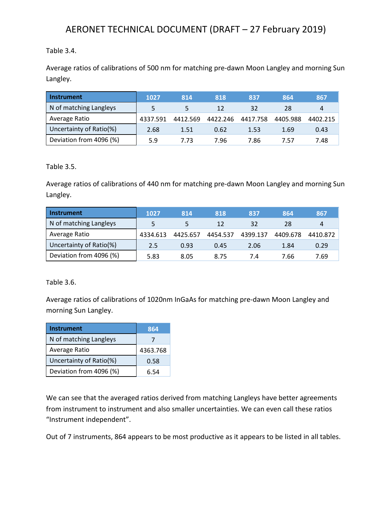#### Table 3.4.

Average ratios of calibrations of 500 nm for matching pre-dawn Moon Langley and morning Sun Langley.

| <b>Instrument</b>       | 1027     | 814      | 818      | 837      | 864      | 867      |
|-------------------------|----------|----------|----------|----------|----------|----------|
| N of matching Langleys  |          |          | 12       | 32       | 28       | 4        |
| Average Ratio           | 4337.591 | 4412.569 | 4422.246 | 4417.758 | 4405.988 | 4402.215 |
| Uncertainty of Ratio(%) | 2.68     | 1.51     | 0.62     | 1.53     | 1.69     | 0.43     |
| Deviation from 4096 (%) | 5.9      | 7.73     | 7.96     | 7.86     | 7.57     | 7.48     |

Table 3.5.

Average ratios of calibrations of 440 nm for matching pre-dawn Moon Langley and morning Sun Langley.

| <b>Instrument</b>       | 1027     | 814      | 818      | 837      | 864      | 867            |
|-------------------------|----------|----------|----------|----------|----------|----------------|
| N of matching Langleys  |          |          | 12       | 32       | 28       | $\overline{4}$ |
| Average Ratio           | 4334.613 | 4425.657 | 4454.537 | 4399.137 | 4409.678 | 4410.872       |
| Uncertainty of Ratio(%) | 2.5      | 0.93     | 0.45     | 2.06     | 1.84     | 0.29           |
| Deviation from 4096 (%) | 5.83     | 8.05     | 8.75     | 7.4      | 7.66     | 7.69           |

Table 3.6.

Average ratios of calibrations of 1020nm InGaAs for matching pre-dawn Moon Langley and morning Sun Langley.

| <b>Instrument</b>       | 864      |
|-------------------------|----------|
| N of matching Langleys  |          |
| Average Ratio           | 4363.768 |
| Uncertainty of Ratio(%) | 0.58     |
| Deviation from 4096 (%) | 6.54     |

We can see that the averaged ratios derived from matching Langleys have better agreements from instrument to instrument and also smaller uncertainties. We can even call these ratios "Instrument independent".

Out of 7 instruments, 864 appears to be most productive as it appears to be listed in all tables.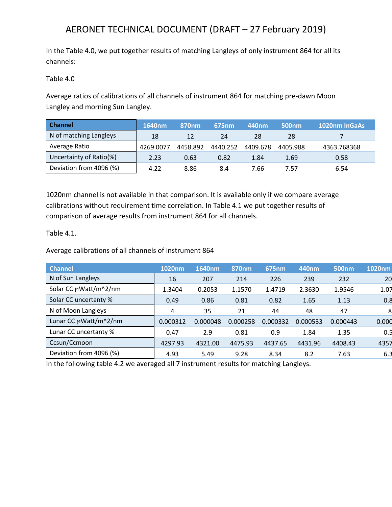In the Table 4.0, we put together results of matching Langleys of only instrument 864 for all its channels:

Table 4.0

Average ratios of calibrations of all channels of instrument 864 for matching pre-dawn Moon Langley and morning Sun Langley.

| <b>Channel</b>          | 1640nm    | 870 <sub>nm</sub> | 675nm    | 440 <sub>nm</sub> | 500 <sub>nm</sub> | 1020nm InGaAs |
|-------------------------|-----------|-------------------|----------|-------------------|-------------------|---------------|
| N of matching Langleys  | 18        | 12                | 24       | 28                | 28                |               |
| Average Ratio           | 4269.0077 | 4458.892          | 4440.252 | 4409.678          | 4405.988          | 4363.768368   |
| Uncertainty of Ratio(%) | 2.23      | 0.63              | 0.82     | 1.84              | 1.69              | 0.58          |
| Deviation from 4096 (%) | 4.22      | 8.86              | 8.4      | 7.66              | 7.57              | 6.54          |

1020nm channel is not available in that comparison. It is available only if we compare average calibrations without requirement time correlation. In Table 4.1 we put together results of comparison of average results from instrument 864 for all channels.

Table 4.1.

Average calibrations of all channels of instrument 864

| <b>Channel</b>          | 1020nm   | 1640nm   | 870nm    | 675nm    | 440nm    | <b>500nm</b> | 1020nm |
|-------------------------|----------|----------|----------|----------|----------|--------------|--------|
| N of Sun Langleys       | 16       | 207      | 214      | 226      | 239      | 232          | 20     |
| Solar CC MWatt/m^2/nm   | 1.3404   | 0.2053   | 1.1570   | 1.4719   | 2.3630   | 1.9546       | 1.07   |
| Solar CC uncertanty %   | 0.49     | 0.86     | 0.81     | 0.82     | 1.65     | 1.13         | 0.8    |
| N of Moon Langleys      | 4        | 35       | 21       | 44       | 48       | 47           | 8      |
| Lunar CC MWatt/m^2/nm   | 0.000312 | 0.000048 | 0.000258 | 0.000332 | 0.000533 | 0.000443     | 0.000  |
| Lunar CC uncertanty %   | 0.47     | 2.9      | 0.81     | 0.9      | 1.84     | 1.35         | 0.5    |
| Ccsun/Ccmoon            | 4297.93  | 4321.00  | 4475.93  | 4437.65  | 4431.96  | 4408.43      | 4357   |
| Deviation from 4096 (%) | 4.93     | 5.49     | 9.28     | 8.34     | 8.2      | 7.63         | 6.3    |

In the following table 4.2 we averaged all 7 instrument results for matching Langleys.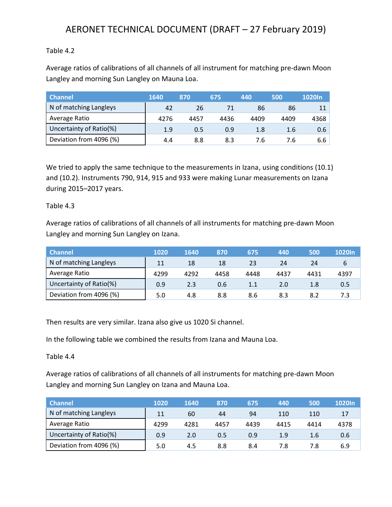#### Table 4.2

Average ratios of calibrations of all channels of all instrument for matching pre-dawn Moon Langley and morning Sun Langley on Mauna Loa.

| <b>Channel</b>          | 1640 | 870  | 675  | 440  | 500  | 1020In |
|-------------------------|------|------|------|------|------|--------|
| N of matching Langleys  | 42   | 26   |      | 86   | 86   |        |
| Average Ratio           | 4276 | 4457 | 4436 | 4409 | 4409 | 4368   |
| Uncertainty of Ratio(%) | 1.9  | 0.5  | 0.9  | 1.8  | 1.6  | 0.6    |
| Deviation from 4096 (%) | 4.4  | 8.8  | 8.3  | 7.6  | 7.6  | 6.6    |

We tried to apply the same technique to the measurements in Izana, using conditions (10.1) and (10.2). Instruments 790, 914, 915 and 933 were making Lunar measurements on Izana during 2015–2017 years.

#### Table 4.3

Average ratios of calibrations of all channels of all instruments for matching pre-dawn Moon Langley and morning Sun Langley on Izana.

| <b>Channel</b>          | 1020 | 1640 | 870  | 675  | 440  | 500  | 1020 <sub>In</sub> |
|-------------------------|------|------|------|------|------|------|--------------------|
| N of matching Langleys  | 11   | 18   | 18   | 23   | 24   | 24   |                    |
| Average Ratio           | 4299 | 4292 | 4458 | 4448 | 4437 | 4431 | 4397               |
| Uncertainty of Ratio(%) | 0.9  | 2.3  | 0.6  | 1.1  | 2.0  | 1.8  | 0.5                |
| Deviation from 4096 (%) | 5.0  | 4.8  | 8.8  | 8.6  | 8.3  | 8.2  |                    |

Then results are very similar. Izana also give us 1020 Si channel.

In the following table we combined the results from Izana and Mauna Loa.

Table 4.4

Average ratios of calibrations of all channels of all instruments for matching pre-dawn Moon Langley and morning Sun Langley on Izana and Mauna Loa.

| <b>Channel</b>          | 1020 | 1640 | 870  | 675  | 440  | 500  | 1020In |
|-------------------------|------|------|------|------|------|------|--------|
| N of matching Langleys  | 11   | 60   | 44   | 94   | 110  | 110  |        |
| Average Ratio           | 4299 | 4281 | 4457 | 4439 | 4415 | 4414 | 4378   |
| Uncertainty of Ratio(%) | 0.9  | 2.0  | 0.5  | 0.9  | 1.9  | 1.6  | 0.6    |
| Deviation from 4096 (%) | 5.0  | 4.5  | 8.8  | 8.4  | 7.8  | 7.8  | 6.9    |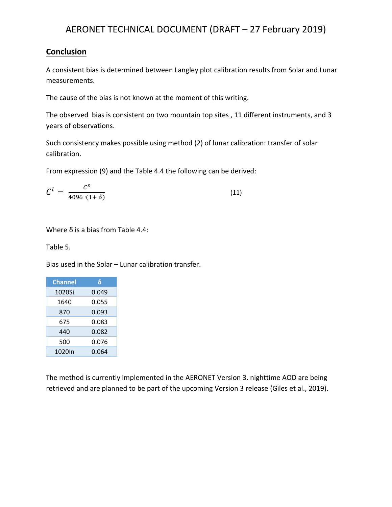### **Conclusion**

A consistent bias is determined between Langley plot calibration results from Solar and Lunar measurements.

The cause of the bias is not known at the moment of this writing.

The observed bias is consistent on two mountain top sites , 11 different instruments, and 3 years of observations.

Such consistency makes possible using method (2) of lunar calibration: transfer of solar calibration.

From expression (9) and the Table 4.4 the following can be derived:

$$
C^l = \frac{C^s}{4096 \cdot (1+\delta)}\tag{11}
$$

Where δ is a bias from Table 4.4:

Table 5.

Bias used in the Solar – Lunar calibration transfer.

| <b>Channel</b> | δ     |
|----------------|-------|
| 1020Si         | 0.049 |
| 1640           | 0.055 |
| 870            | 0.093 |
| 675            | 0.083 |
| 440            | 0.082 |
| 500            | 0.076 |
| 1020In         | 0.064 |

The method is currently implemented in the AERONET Version 3. nighttime AOD are being retrieved and are planned to be part of the upcoming Version 3 release (Giles et al., 2019).